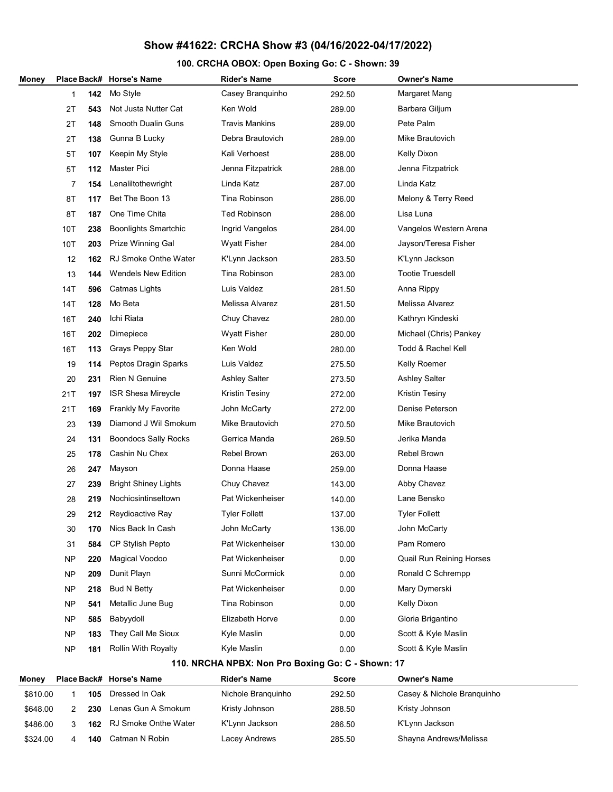## Show #41622: CRCHA Show #3 (04/16/2022-04/17/2022)

## 100. CRCHA OBOX: Open Boxing Go: C - Shown: 39

| Money |           |     | Place Back# Horse's Name    | <b>Rider's Name</b>                              | Score  | <b>Owner's Name</b>      |
|-------|-----------|-----|-----------------------------|--------------------------------------------------|--------|--------------------------|
|       | 1         | 142 | Mo Style                    | Casey Branquinho                                 | 292.50 | Margaret Mang            |
|       | 2Τ        | 543 | Not Justa Nutter Cat        | Ken Wold                                         | 289.00 | Barbara Giljum           |
|       | 2Τ        | 148 | Smooth Dualin Guns          | <b>Travis Mankins</b>                            | 289.00 | Pete Palm                |
|       | 2T        | 138 | Gunna B Lucky               | Debra Brautovich                                 | 289.00 | Mike Brautovich          |
|       | 5T        | 107 | Keepin My Style             | Kali Verhoest                                    | 288.00 | Kelly Dixon              |
|       | 5T        | 112 | <b>Master Pici</b>          | Jenna Fitzpatrick                                | 288.00 | Jenna Fitzpatrick        |
|       | 7         | 154 | Lenaliltothewright          | Linda Katz                                       | 287.00 | Linda Katz               |
|       | 8T        | 117 | Bet The Boon 13             | Tina Robinson                                    | 286.00 | Melony & Terry Reed      |
|       | 8T        | 187 | One Time Chita              | <b>Ted Robinson</b>                              | 286.00 | Lisa Luna                |
|       | 10T       | 238 | <b>Boonlights Smartchic</b> | Ingrid Vangelos                                  | 284.00 | Vangelos Western Arena   |
|       | 10T       | 203 | <b>Prize Winning Gal</b>    | <b>Wyatt Fisher</b>                              | 284.00 | Jayson/Teresa Fisher     |
|       | 12        | 162 | <b>RJ Smoke Onthe Water</b> | K'Lynn Jackson                                   | 283.50 | K'Lynn Jackson           |
|       | 13        | 144 | <b>Wendels New Edition</b>  | Tina Robinson                                    | 283.00 | <b>Tootie Truesdell</b>  |
|       | 14T       | 596 | Catmas Lights               | Luis Valdez                                      | 281.50 | Anna Rippy               |
|       | 14T       | 128 | Mo Beta                     | Melissa Alvarez                                  | 281.50 | Melissa Alvarez          |
|       | 16T       | 240 | Ichi Riata                  | Chuy Chavez                                      | 280.00 | Kathryn Kindeski         |
|       | 16T       | 202 | Dimepiece                   | Wyatt Fisher                                     | 280.00 | Michael (Chris) Pankey   |
|       | 16T       | 113 | Grays Peppy Star            | Ken Wold                                         | 280.00 | Todd & Rachel Kell       |
|       | 19        | 114 | Peptos Dragin Sparks        | Luis Valdez                                      | 275.50 | Kelly Roemer             |
|       | 20        | 231 | <b>Rien N Genuine</b>       | <b>Ashley Salter</b>                             | 273.50 | <b>Ashley Salter</b>     |
|       | 21T       | 197 | <b>ISR Shesa Mireycle</b>   | Kristin Tesiny                                   | 272.00 | Kristin Tesiny           |
|       | 21T       | 169 | Frankly My Favorite         | John McCarty                                     | 272.00 | Denise Peterson          |
|       | 23        | 139 | Diamond J Wil Smokum        | Mike Brautovich                                  | 270.50 | Mike Brautovich          |
|       | 24        | 131 | <b>Boondocs Sally Rocks</b> | Gerrica Manda                                    | 269.50 | Jerika Manda             |
|       | 25        | 178 | Cashin Nu Chex              | Rebel Brown                                      | 263.00 | <b>Rebel Brown</b>       |
|       | 26        | 247 | Mayson                      | Donna Haase                                      | 259.00 | Donna Haase              |
|       | 27        | 239 | <b>Bright Shiney Lights</b> | Chuy Chavez                                      | 143.00 | Abby Chavez              |
|       | 28        | 219 | Nochicsintinseltown         | Pat Wickenheiser                                 | 140.00 | Lane Bensko              |
|       | 29        | 212 | Reydioactive Ray            | <b>Tyler Follett</b>                             | 137.00 | <b>Tyler Follett</b>     |
|       | 30        | 170 | Nics Back In Cash           | John McCarty                                     | 136.00 | John McCarty             |
|       | 31        | 584 | CP Stylish Pepto            | Pat Wickenheiser                                 | 130.00 | Pam Romero               |
|       | <b>NP</b> | 220 | Magical Voodoo              | Pat Wickenheiser                                 | 0.00   | Quail Run Reining Horses |
|       | <b>NP</b> | 209 | Dunit Playn                 | Sunni McCormick                                  | 0.00   | Ronald C Schrempp        |
|       | <b>NP</b> | 218 | Bud N Betty                 | Pat Wickenheiser                                 | 0.00   | Mary Dymerski            |
|       | <b>NP</b> | 541 | Metallic June Bug           | Tina Robinson                                    | 0.00   | Kelly Dixon              |
|       | <b>NP</b> | 585 | Babyydoll                   | Elizabeth Horve                                  | 0.00   | Gloria Brigantino        |
|       | <b>NP</b> | 183 | They Call Me Sioux          | Kyle Maslin                                      | 0.00   | Scott & Kyle Maslin      |
|       | <b>NP</b> | 181 | Rollin With Royalty         | Kyle Maslin                                      | 0.00   | Scott & Kyle Maslin      |
|       |           |     |                             | 110 NPCHA NPRY: Non Pro Roving Co: C - Shown: 17 |        |                          |

#### 110. NRCHA NPBX: Non Pro Boxing Go: C - Shown: 17

| Money    |     | Place Back# Horse's Name | <b>Rider's Name</b> | <b>Score</b> | <b>Owner's Name</b>        |
|----------|-----|--------------------------|---------------------|--------------|----------------------------|
| \$810.00 | 105 | Dressed In Oak           | Nichole Branguinho  | 292.50       | Casey & Nichole Branquinho |
| \$648.00 | 230 | Lenas Gun A Smokum       | Kristy Johnson      | 288.50       | Kristy Johnson             |
| \$486.00 | 162 | RJ Smoke Onthe Water     | K'Lynn Jackson      | 286.50       | K'Lynn Jackson             |
| \$324.00 | 140 | Catman N Robin           | Lacey Andrews       | 285.50       | Shayna Andrews/Melissa     |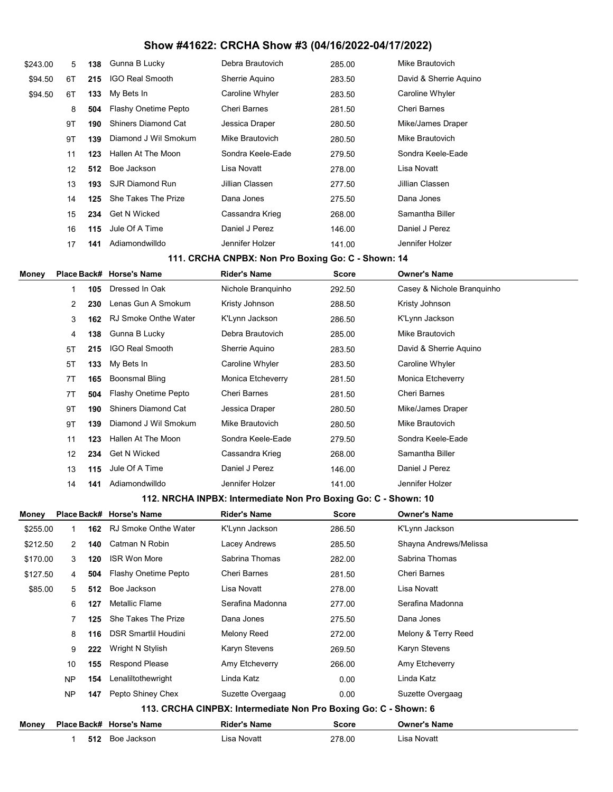## Show #41622: CRCHA Show #3 (04/16/2022-04/17/2022)

| \$243.00 | 5  | 138 | Gunna B Lucky              | Debra Brautovich    | 285.00 | Mike Brautovich        |
|----------|----|-----|----------------------------|---------------------|--------|------------------------|
| \$94.50  | 6T | 215 | <b>IGO Real Smooth</b>     | Sherrie Aquino      | 283.50 | David & Sherrie Aguino |
| \$94.50  | 6T | 133 | My Bets In                 | Caroline Whyler     | 283.50 | Caroline Whyler        |
|          | 8  | 504 | Flashy Onetime Pepto       | <b>Cheri Barnes</b> | 281.50 | Cheri Barnes           |
|          | 9T | 190 | <b>Shiners Diamond Cat</b> | Jessica Draper      | 280.50 | Mike/James Draper      |
|          | 9T | 139 | Diamond J Wil Smokum       | Mike Brautovich     | 280.50 | Mike Brautovich        |
|          | 11 | 123 | Hallen At The Moon         | Sondra Keele-Eade   | 279.50 | Sondra Keele-Eade      |
|          | 12 | 512 | Boe Jackson                | Lisa Novatt         | 278.00 | Lisa Novatt            |
|          | 13 | 193 | <b>SJR Diamond Run</b>     | Jillian Classen     | 277.50 | Jillian Classen        |
|          | 14 | 125 | She Takes The Prize        | Dana Jones          | 275.50 | Dana Jones             |
|          | 15 | 234 | Get N Wicked               | Cassandra Krieg     | 268.00 | Samantha Biller        |
|          | 16 | 115 | Jule Of A Time             | Daniel J Perez      | 146.00 | Daniel J Perez         |
|          | 17 | 141 | Adiamondwilldo             | Jennifer Holzer     | 141.00 | Jennifer Holzer        |

### 111. CRCHA CNPBX: Non Pro Boxing Go: C - Shown: 14

| Money |                   |     | Place Back# Horse's Name   | <b>Rider's Name</b> | Score  | <b>Owner's Name</b>        |
|-------|-------------------|-----|----------------------------|---------------------|--------|----------------------------|
|       |                   | 105 | Dressed In Oak             | Nichole Branquinho  | 292.50 | Casey & Nichole Branquinho |
|       | 2                 | 230 | Lenas Gun A Smokum         | Kristy Johnson      | 288.50 | Kristy Johnson             |
|       | 3                 | 162 | RJ Smoke Onthe Water       | K'Lynn Jackson      | 286.50 | K'Lynn Jackson             |
|       | 4                 | 138 | Gunna B Lucky              | Debra Brautovich    | 285.00 | Mike Brautovich            |
|       | 5T                | 215 | IGO Real Smooth            | Sherrie Aquino      | 283.50 | David & Sherrie Aguino     |
|       | 5T                | 133 | My Bets In                 | Caroline Whyler     | 283.50 | Caroline Whyler            |
|       | 7T                | 165 | Boonsmal Bling             | Monica Etcheverry   | 281.50 | Monica Etcheverry          |
|       | 7T                | 504 | Flashy Onetime Pepto       | Cheri Barnes        | 281.50 | <b>Cheri Barnes</b>        |
|       | 9T                | 190 | <b>Shiners Diamond Cat</b> | Jessica Draper      | 280.50 | Mike/James Draper          |
|       | 9T                | 139 | Diamond J Wil Smokum       | Mike Brautovich     | 280.50 | Mike Brautovich            |
|       | 11                | 123 | Hallen At The Moon         | Sondra Keele-Eade   | 279.50 | Sondra Keele-Eade          |
|       | $12 \overline{ }$ | 234 | <b>Get N Wicked</b>        | Cassandra Krieg     | 268.00 | Samantha Biller            |
|       | 13                | 115 | Jule Of A Time             | Daniel J Perez      | 146.00 | Daniel J Perez             |
|       | 14                | 141 | Adiamondwilldo             | Jennifer Holzer     | 141.00 | Jennifer Holzer            |

### 112. NRCHA INPBX: Intermediate Non Pro Boxing Go: C - Shown: 10

| Money    |                                                                 |     | Place Back# Horse's Name    | <b>Rider's Name</b> | Score        | <b>Owner's Name</b>    |
|----------|-----------------------------------------------------------------|-----|-----------------------------|---------------------|--------------|------------------------|
| \$255.00 |                                                                 | 162 | <b>RJ Smoke Onthe Water</b> | K'Lynn Jackson      | 286.50       | K'Lynn Jackson         |
| \$212.50 | 2                                                               | 140 | Catman N Robin              | Lacey Andrews       | 285.50       | Shayna Andrews/Melissa |
| \$170.00 | 3                                                               | 120 | <b>ISR Won More</b>         | Sabrina Thomas      | 282.00       | Sabrina Thomas         |
| \$127.50 | 4                                                               | 504 | Flashy Onetime Pepto        | <b>Cheri Barnes</b> | 281.50       | <b>Cheri Barnes</b>    |
| \$85.00  | 5                                                               | 512 | Boe Jackson                 | Lisa Novatt         | 278.00       | Lisa Novatt            |
|          | 6                                                               | 127 | Metallic Flame              | Serafina Madonna    | 277.00       | Serafina Madonna       |
|          | 7                                                               | 125 | She Takes The Prize         | Dana Jones          | 275.50       | Dana Jones             |
|          | 8                                                               | 116 | <b>DSR Smartlil Houdini</b> | Melony Reed         | 272.00       | Melony & Terry Reed    |
|          | 9                                                               | 222 | Wright N Stylish            | Karyn Stevens       | 269.50       | Karyn Stevens          |
|          | 10                                                              | 155 | Respond Please              | Amy Etcheverry      | 266.00       | Amy Etcheverry         |
|          | N <sub>P</sub>                                                  | 154 | Lenaliltothewright          | Linda Katz          | 0.00         | Linda Katz             |
|          | <b>NP</b>                                                       | 147 | Pepto Shiney Chex           | Suzette Overgaag    | 0.00         | Suzette Overgaag       |
|          | 113. CRCHA CINPBX: Intermediate Non Pro Boxing Go: C - Shown: 6 |     |                             |                     |              |                        |
| Money    |                                                                 |     | Place Back# Horse's Name    | <b>Rider's Name</b> | <b>Score</b> | <b>Owner's Name</b>    |
|          | 1                                                               | 512 | Boe Jackson                 | Lisa Novatt         | 278.00       | Lisa Novatt            |